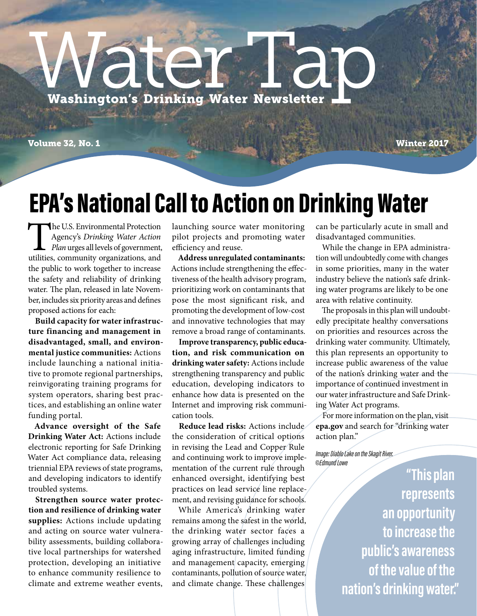# WACK TAP 2

Volume 32, No. 1 Winter 2017

### EPA's National Call to Action on Drinking Water

The U.S. Environmental Protection Agency's *Drinking Water Action Plan* urges all levels of government, utilities, community organizations, and the public to work together to increase the safety and reliability of drinking water. The plan, released in late November, includes six priority areas and defines proposed actions for each:

**Build capacity for water infrastructure financing and management in disadvantaged, small, and environmental justice communities:** Actions include launching a national initiative to promote regional partnerships, reinvigorating training programs for system operators, sharing best practices, and establishing an online water funding portal.

**Advance oversight of the Safe Drinking Water Act:** Actions include electronic reporting for Safe Drinking Water Act compliance data, releasing triennial EPA reviews of state programs, and developing indicators to identify troubled systems.

**Strengthen source water protection and resilience of drinking water supplies:** Actions include updating and acting on source water vulnerability assessments, building collaborative local partnerships for watershed protection, developing an initiative to enhance community resilience to climate and extreme weather events,

launching source water monitoring pilot projects and promoting water efficiency and reuse.

**Address unregulated contaminants:** Actions include strengthening the effectiveness of the health advisory program, prioritizing work on contaminants that pose the most significant risk, and promoting the development of low-cost and innovative technologies that may remove a broad range of contaminants.

**Improve transparency, public education, and risk communication on drinking water safety:** Actions include strengthening transparency and public education, developing indicators to enhance how data is presented on the Internet and improving risk communication tools.

**Reduce lead risks:** Actions include the consideration of critical options in revising the Lead and Copper Rule and continuing work to improve implementation of the current rule through enhanced oversight, identifying best practices on lead service line replacement, and revising guidance for schools.

While America's drinking water remains among the safest in the world, the drinking water sector faces a growing array of challenges including aging infrastructure, limited funding and management capacity, emerging contaminants, pollution of source water, and climate change. These challenges

can be particularly acute in small and disadvantaged communities.

While the change in EPA administration will undoubtedly come with changes in some priorities, many in the water industry believe the nation's safe drinking water programs are likely to be one area with relative continuity.

The proposals in this plan will undoubtedly precipitate healthy conversations on priorities and resources across the drinking water community. Ultimately, this plan represents an opportunity to increase public awareness of the value of the nation's drinking water and the importance of continued investment in our water infrastructure and Safe Drinking Water Act programs.

For more information on the plan, visit **epa.gov** and search for "drinking water action plan."

*Image: Diablo Lake on the Skagit River. ©Edmund Lowe*

> **"Thisplan represents an opportunity to increase the public's awareness of the value of the nation's drinking water."**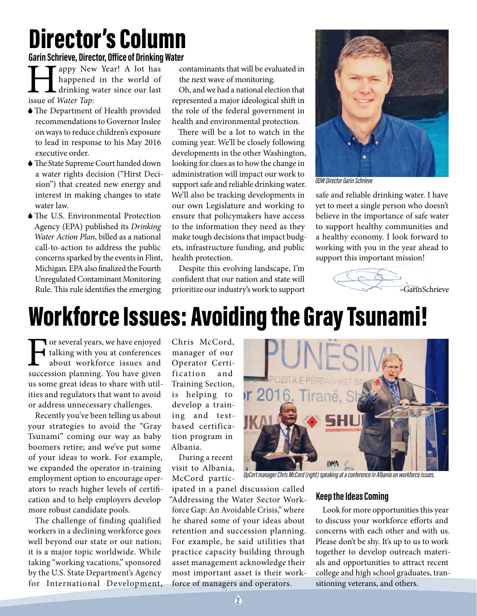### Director's Column

**Garin Schrieve, Director, Office of Drinking Water**

**Happy New Year!** A lot has happened in the world of drinking water since our last issue of *Water Tap*: happened in the world of drinking water since our last issue of *Water Tap*:

- 6The Department of Health provided recommendations to Governor Inslee on ways to reduce children's exposure to lead in response to his May 2016 executive order.
- 6The State Supreme Court handed down a water rights decision ("Hirst Decision") that created new energy and interest in making changes to state water law.
- 6The U.S. Environmental Protection Agency (EPA) published its *Drinking Water Action Plan*, billed as a national call-to-action to address the public concerns sparked by the events in Flint, Michigan. EPA also finalized the Fourth Unregulated Contaminant Monitoring Rule. This rule identifies the emerging

contaminants that will be evaluated in the next wave of monitoring.

Oh, and we had a national election that represented a major ideological shift in the role of the federal government in health and environmental protection.

There will be a lot to watch in the coming year. We'll be closely following developments in the other Washington, looking for clues as to how the change in administration will impact our work to support safe and reliable drinking water. We'll also be tracking developments in our own Legislature and working to ensure that policymakers have access to the information they need as they make tough decisions that impact budgets, infrastructure funding, and public health protection.

Despite this evolving landscape, I'm confident that our nation and state will prioritize our industry's work to support



*ODW Director Garin Schrieve*

safe and reliable drinking water. I have yet to meet a single person who doesn't believe in the importance of safe water to support healthy communities and a healthy economy. I look forward to working with you in the year ahead to support this important mission!



### Workforce Issues: Avoiding the Gray Tsunami!

For several years, we have enjoyed<br>talking with you at conferences<br>about workforce issues and<br>succession planning. You have given talking with you at conferences about workforce issues and succession planning. You have given us some great ideas to share with utilities and regulators that want to avoid or address unnecessary challenges.

Recently you've been telling us about your strategies to avoid the "Gray Tsunami" coming our way as baby boomers retire; and we've put some of your ideas to work. For example, we expanded the operator in-training employment option to encourage operators to reach higher levels of certification and to help employers develop more robust candidate pools.

The challenge of finding qualified workers in a declining workforce goes well beyond our state or our nation; it is a major topic worldwide. While taking "working vacations," sponsored by the U.S. State Department's Agency for International Development, Chris McCord, manager of our Operator Certification and Training Section, is helping to develop a training and testbased certification program in Albania.

During a recent visit to Albania, McCord partic-

ipated in a panel discussion called "Addressing the Water Sector Workforce Gap: An Avoidable Crisis," where he shared some of your ideas about retention and succession planning. For example, he said utilities that practice capacity building through asset management acknowledge their most important asset is their workforce of managers and operators.



*OpCert manager Chris McCord (right) speaking at a conference in Albania on workforce issues.*

#### **Keep the Ideas Coming**

Look for more opportunities this year to discuss your workforce efforts and concerns with each other and with us. Please don't be shy. It's up to us to work together to develop outreach materials and opportunities to attract recent college and high school graduates, transitioning veterans, and others.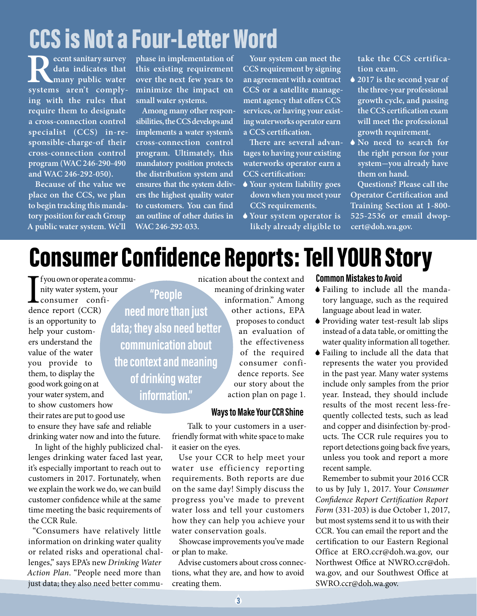## CCS is Not a Four-Letter Word

**Recent sanitary survey**<br>
data indicates that<br>
systems aren't comply**data indicates that many public water ing with the rules that require them to designate a cross-connection control specialist (CCS) in-responsible-charge-of their cross-connection control program (WAC 246-290-490 and WAC 246-292-050).**

**Because of the value we place on the CCS, we plan to begin tracking this mandatory position for each Group A public water system. We'll** 

**phase in implementation of this existing requirement over the next few years to minimize the impact on small water systems.**

**Among many other responsibilities, the CCS develops and implements a water system's cross-connection control program. Ultimately, this mandatory position protects the distribution system and ensures that the system delivers the highest quality water to customers. You can find an outline of other duties in WAC 246-292-033.**

**Your system can meet the CCS requirement by signing an agreement with a contract CCS or a satellite management agency that offers CCS services, or having your existing waterworks operator earn a CCS certification.**

**There are several advantages to having your existing waterworks operator earn a CCS certification:**

- 6 **Your system liability goes down when you meet your CCS requirements.**
- 6 **Your system operator is likely already eligible to**

**take the CCS certification exam.**

- 6 **2017 is the second year of the three-year professional growth cycle, and passing the CCS certification exam will meet the professional growth requirement.**
- 6 **No need to search for the right person for your system-you already have them on hand.**

**Questions? Please call the Operator Certification and Training Section at 1-800- 525-2536 or email dwopcert@doh.wa.gov.**

### Consumer Confidence Reports: Tell YOUR Story

I fyou own or operate<br>
nity water system,<br>
consumer conf<br>
dence report (CCR) f you own or operate a community water system, your consumer confiis an opportunity to help your customers understand the value of the water you provide to them, to display the good work going on at your water system, and to show customers how their rates are put to good use to ensure they have safe and reliable

drinking water now and into the future. In light of the highly publicized challenges drinking water faced last year, it's especially important to reach out to customers in 2017. Fortunately, when we explain the work we do, we can build customer confidence while at the same time meeting the basic requirements of

"Consumers have relatively little information on drinking water quality or related risks and operational challenges," says EPA's new *Drinking Water Action Plan*. "People need more than just data; they also need better commu-

the CCR Rule.

**"People need more than just data; they also need better communication about the context and meaning of drinking water information."**

nication about the context and meaning of drinking water information." Among other actions, EPA proposes to conduct an evaluation of the effectiveness of the required consumer confidence reports. See our story about the action plan on page 1.

#### **Ways to Make Your CCR Shine**

Talk to your customers in a userfriendly format with white space to make it easier on the eyes.

Use your CCR to help meet your water use efficiency reporting requirements. Both reports are due on the same day! Simply discuss the progress you've made to prevent water loss and tell your customers how they can help you achieve your water conservation goals.

Showcase improvements you've made or plan to make.

Advise customers about cross connections, what they are, and how to avoid creating them.

#### **Common Mistakes to Avoid**

- 6 Failing to include all the mandatory language, such as the required language about lead in water.
- 6 Providing water test-result lab slips instead of a data table, or omitting the water quality information all together.
- 6 Failing to include all the data that represents the water you provided in the past year. Many water systems include only samples from the prior year. Instead, they should include results of the most recent less-frequently collected tests, such as lead and copper and disinfection by-products. The CCR rule requires you to report detections going back five years, unless you took and report a more recent sample.

Remember to submit your 2016 CCR to us by July 1, 2017. Your *Consumer Confidence Report Certification Report Form* (331-203) is due October 1, 2017, but most systems send it to us with their CCR. You can email the report and the certification to our Eastern Regional Office at ERO.ccr@doh.wa.gov, our Northwest Office at NWRO.ccr@doh. wa.gov, and our Southwest Office at SWRO.ccr@doh.wa.gov.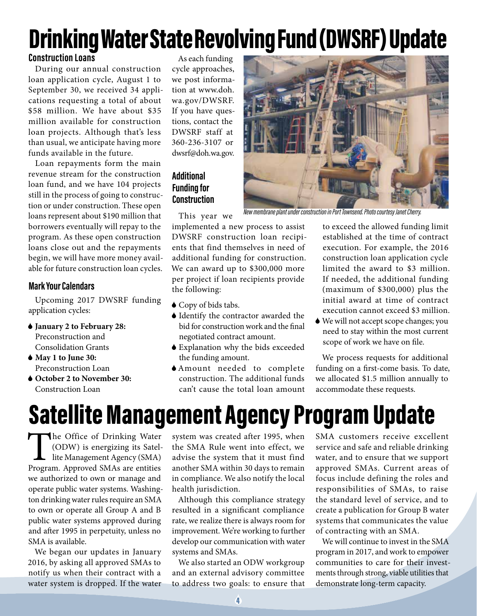### Drinking Water State Revolving Fund (DWSRF) Update

#### **Construction Loans**

During our annual construction loan application cycle, August 1 to September 30, we received 34 applications requesting a total of about \$58 million. We have about \$35 million available for construction loan projects. Although that's less than usual, we anticipate having more funds available in the future.

Loan repayments form the main revenue stream for the construction loan fund, and we have 104 projects still in the process of going to construction or under construction. These open loans represent about \$190 million that borrowers eventually will repay to the program. As these open construction loans close out and the repayments begin, we will have more money available for future construction loan cycles.

#### **Mark Your Calendars**

Upcoming 2017 DWSRF funding application cycles:

- 6 **January 2 to February 28:** Preconstruction and Consolidation Grants
- 6 **May 1 to June 30:** Preconstruction Loan
- 6 **October 2 to November 30:** Construction Loan

As each funding cycle approaches, we post information at www.doh. wa.gov/DWSRF. If you have questions, contact the DWSRF staff at 360-236-3107 or dwsrf@doh.wa.gov.

#### **Additional Funding for Construction**

*New membrane plant under construction in Port Townsend. Photo courtesy Janet Cherry.*

This year we

implemented a new process to assist DWSRF construction loan recipients that find themselves in need of additional funding for construction. We can award up to \$300,000 more per project if loan recipients provide the following:

- ◆ Copy of bids tabs.
- 6 Identify the contractor awarded the bid for construction work and the final negotiated contract amount.
- 6 Explanation why the bids exceeded the funding amount.
- 6Amount needed to complete construction. The additional funds can't cause the total loan amount

to exceed the allowed funding limit established at the time of contract execution. For example, the 2016 construction loan application cycle limited the award to \$3 million. If needed, the additional funding (maximum of \$300,000) plus the initial award at time of contract execution cannot exceed \$3 million.

6 We will not accept scope changes; you need to stay within the most current scope of work we have on file.

We process requests for additional funding on a first-come basis. To date, we allocated \$1.5 million annually to accommodate these requests.

### Satellite Management Agency Program Update

The Office of Drinking Water (ODW) is energizing its Satellite Management Agency (SMA) Program. Approved SMAs are entities we authorized to own or manage and operate public water systems. Washington drinking water rules require an SMA to own or operate all Group A and B public water systems approved during and after 1995 in perpetuity, unless no SMA is available.

We began our updates in January 2016, by asking all approved SMAs to notify us when their contract with a water system is dropped. If the water system was created after 1995, when the SMA Rule went into effect, we advise the system that it must find another SMA within 30 days to remain in compliance. We also notify the local health jurisdiction.

Although this compliance strategy resulted in a significant compliance rate, we realize there is always room for improvement. We're working to further develop our communication with water systems and SMAs.

We also started an ODW workgroup and an external advisory committee to address two goals: to ensure that

SMA customers receive excellent service and safe and reliable drinking water, and to ensure that we support approved SMAs. Current areas of focus include defining the roles and responsibilities of SMAs, to raise the standard level of service, and to create a publication for Group B water systems that communicates the value of contracting with an SMA.

We will continue to invest in the SMA program in 2017, and work to empower communities to care for their investments through strong, viable utilities that demonstrate long-term capacity.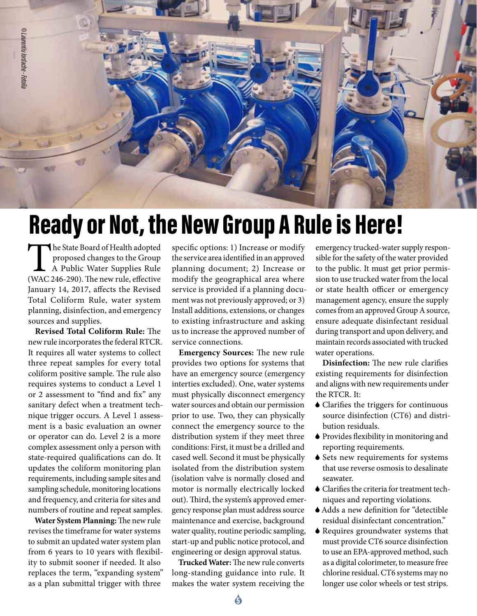

### Ready or Not, the New Group A Rule is Here!

The State Board of Health adopted<br>proposed changes to the Group<br>A Public Water Supplies Rule<br>(WAC 246-290). The new rule, effective proposed changes to the Group A Public Water Supplies Rule (WAC 246-290). The new rule, effective January 14, 2017, affects the Revised Total Coliform Rule, water system planning, disinfection, and emergency sources and supplies.

**Revised Total Coliform Rule:** The new rule incorporates the federal RTCR. It requires all water systems to collect three repeat samples for every total coliform positive sample. The rule also requires systems to conduct a Level 1 or 2 assessment to "find and fix" any sanitary defect when a treatment technique trigger occurs. A Level 1 assessment is a basic evaluation an owner or operator can do. Level 2 is a more complex assessment only a person with state-required qualifications can do. It updates the coliform monitoring plan requirements, including sample sites and sampling schedule, monitoring locations and frequency, and criteria for sites and numbers of routine and repeat samples.

**Water System Planning:** The new rule revises the timeframe for water systems to submit an updated water system plan from 6 years to 10 years with flexibility to submit sooner if needed. It also replaces the term, "expanding system" as a plan submittal trigger with three

specific options: 1) Increase or modify the service area identified in an approved planning document; 2) Increase or modify the geographical area where service is provided if a planning document was not previously approved; or 3) Install additions, extensions, or changes to existing infrastructure and asking us to increase the approved number of service connections.

**Emergency Sources:** The new rule provides two options for systems that have an emergency source (emergency interties excluded). One, water systems must physically disconnect emergency water sources and obtain our permission prior to use. Two, they can physically connect the emergency source to the distribution system if they meet three conditions: First, it must be a drilled and cased well. Second it must be physically isolated from the distribution system (isolation valve is normally closed and motor is normally electrically locked out). Third, the system's approved emergency response plan must address source maintenance and exercise, background water quality, routine periodic sampling, start-up and public notice protocol, and engineering or design approval status.

**Trucked Water:** The new rule converts long-standing guidance into rule. It makes the water system receiving the

emergency trucked-water supply responsible for the safety of the water provided to the public. It must get prior permission to use trucked water from the local or state health officer or emergency management agency, ensure the supply comes from an approved Group A source, ensure adequate disinfectant residual during transport and upon delivery, and maintain records associated with trucked water operations.

**Disinfection:** The new rule clarifies existing requirements for disinfection and aligns with new requirements under the RTCR. It:

- 6 Clarifies the triggers for continuous source disinfection (CT6) and distribution residuals.
- 6 Provides flexibility in monitoring and reporting requirements.
- 6 Sets new requirements for systems that use reverse osmosis to desalinate seawater.
- 6 Clarifies the criteria for treatment techniques and reporting violations.
- 6Adds a new definition for "detectible residual disinfectant concentration."
- 6 Requires groundwater systems that must provide CT6 source disinfection to use an EPA-approved method, such as a digital colorimeter, to measure free chlorine residual. CT6 systems may no longer use color wheels or test strips.